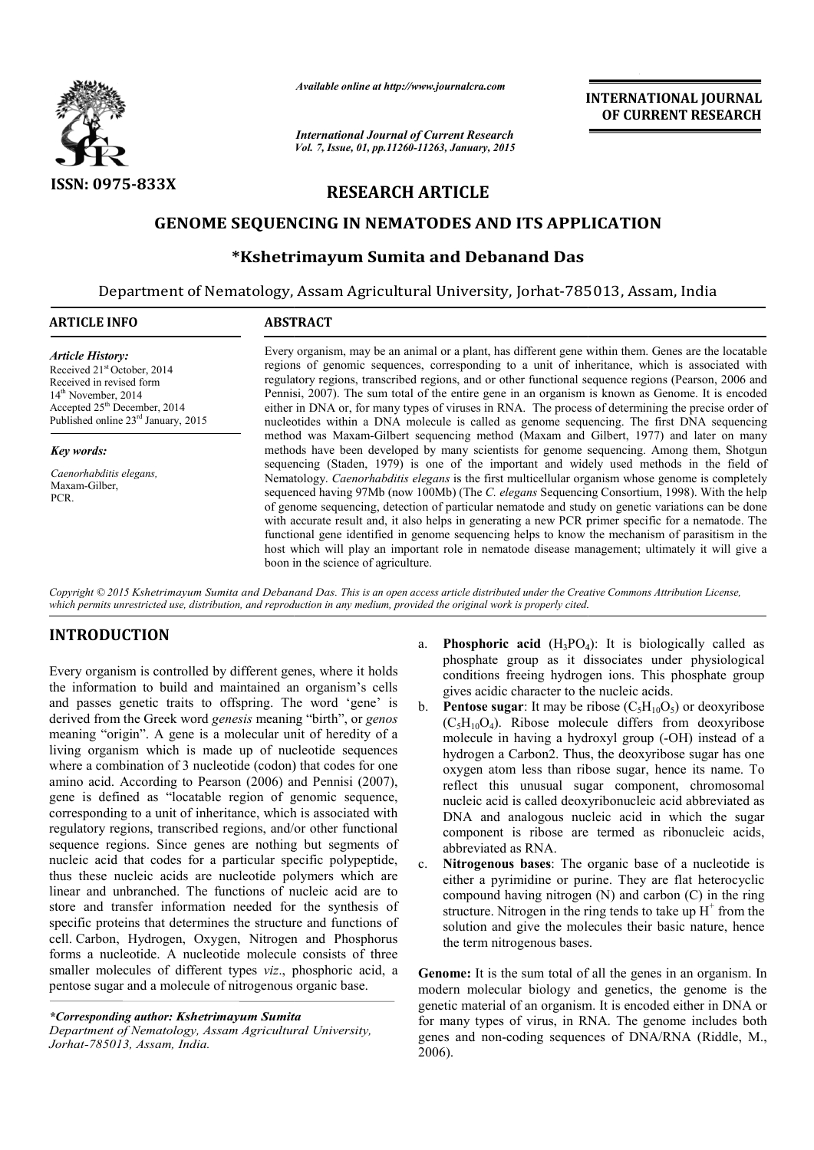

*Available online at http://www.journalcra.com*

*International Journal of Current Research Vol. 7, Issue, 01, pp.11260-11263, January, 2015* **INTERNATIONAL INTERNATIONAL JOURNAL OF CURRENT RESEARCH** 

# **RESEARCH ARTICLE**

# **GENOME SEQUENCING IN NEMATODES AND ITS APPLICATION**

# **\*Kshetrimayum Sumita Kshetrimayum and Debanand Das**

Department of Nematology, Assam Agricultural University, Jorhat-785013, Assam, India  $\overline{a}$ 

# **ARTICLE INFO ABSTRACT**

*Article History:* Received 21st October, 2014 Received in revised form 14th November, 2014 Accepted 25<sup>th</sup> December, 2014 Published online  $23<sup>rd</sup>$  January, 2015

#### *Key words:*

*Caenorhabditis elegans,* Maxam-Gilber, PCR.

Every organism, may be an animal or a plant, has different gene within them. Genes are the locatable Every organism, may be an animal or a plant, has different gene within them. Genes are the locatable regions of genomic sequences, corresponding to a unit of inheritance, which is associated with regulatory regions, transcribed regions, and or other functional sequence regions (Pearson, 2006 and Pennisi, 2007). The sum total of the entire gene in an organism is known as Genome. It is encoded either in DNA or, for many types of viruses in RNA. The process of determining the precise order of nucleotides within a DNA molecule is called as genome sequencing. The first DNA sequencing method was Maxam Maxam-Gilbert sequencing method (Maxam and Gilbert, 1977) and later on many methods have been developed b by many scientists for genome sequencing. Among them, Shotgun sequencing (Staden, 1979) is one of the important and widely used methods in the field of Nematology. *Caenorhabditis elegans* is the first multicellular organism whose genome is completely sequenc sequenced having 97Mb (now 100Mb) (The *C. elegans* Sequencing Consortium, 1998). of genome sequencing, detection of particular nematode and study on genetic variations can be done of genome sequencing, detection of particular nematode and study on genetic variations can be done with accurate result and, it also helps in generating a new PCR primer specific for a nematode. The functional gene identified in genome sequencing helps to know the mechanism of parasitism in the functional gene identified in genome sequencing helps to know the mechanism of parasitism in the host which will play an important role in nematode disease management; ultimately it will give a boon in the science of agriculture. Pennisi, 2007). The sum total of the entire gene in an organism is known as Genome. It is encoded either in DNA or, for many types of viruses in RNA. The process of determining the precise order of nucleotides within a DNA **INTERNATIONAL JOURNAL OF CURRENT RESEARCH OF CURRENT RESEARCH CONDICTION and Das <br>
Sorbita and the entropy and the entropy and the entropy and the entropy and an organism is known as General and an organism is known as G** 

Copyright © 2015 Kshetrimayum Sumita and Debanand Das. This is an open access article distributed under the Creative Commons Attribution License, which permits unrestricted use, distribution, and reproduction in any medium, provided the original work is properly cited.

# **INTRODUCTION**

Every organism is controlled by different genes, where it holds the information to build and maintained an organism's cells and passes genetic traits to offspring. The word 'gene' is derived from the Greek word *genesis* meaning "birth", or *genos* meaning "origin". A gene is a molecular unit of heredity of a living organism which is made up of nucleotide sequences where a combination of 3 nucleotide (codon) that codes for one amino acid. According to Pearson (2006) and Pennisi (2007), gene is defined as "locatable region of genomic sequence, corresponding to a unit of inheritance, which is associated with regulatory regions, transcribed regions, and/or other functional sequence regions. Since genes are nothing but segments of nucleic acid that codes for a particular specific polypeptide, thus these nucleic acids are nucleotide polymers which are linear and unbranched. The functions of nucleic acid are to store and transfer information needed for the synthesis of specific proteins that determines the structure and functions of cell. Carbon, Hydrogen, Oxygen, Nitrogen and Phosphorus forms a nucleotide. A nucleotide molecule consists of three smaller molecules of different types *viz*., phosphoric acid, a pentose sugar and a molecule of nitrogenous organic base. igin". A gene is a molecular unit of heredity of a<br>ism which is made up of nucleotide sequences<br>bination of 3 nucleotide (codon) that codes for one<br>According to Pearson (2006) and Pennisi (2007),<br>ined as "locatable region

*\*Corresponding author: Kshetrimayum Sumita* 

*Department of Nematology, Assam Agricultural University, Jorhat-785013, Assam, India.*

- a. **Phosphoric acid**  $(H_3PO_4)$ : It is biologically called as phosphate group as it dissociates under physiological conditions freeing hydrogen ions. This phosphate group gives acidic character to the nucleic acids. gives acidic character to the nucleic acids.<br>b. **Pentose sugar**: It may be ribose  $(C_5H_{10}O_5)$  or deoxyribose
- $(C_5H_{10}O_4)$ . Ribose molecule differs from deoxyribose  $(C_5H_{10}O_4)$ . Ribose molecule differs from deoxyribose molecule in having a hydroxyl group (-OH) instead of a hydrogen a Carbon2. Thus, the deoxyribose sugar has one oxygen atom less than ribose sugar, hence its name. To reflect this unusual sugar component, chromosomal nucleic acid is called deoxyribonucleic acid abbreviated as DNA and analogous nucleic acid in which the sugar component is ribose are termed as ribonucleic acids, abbreviated as RNA. gen a Carbon2. Thus, the deoxyribose sugar has one<br>atom less than ribose sugar, hence its name. To<br>this unusual sugar component, chromosomal<br>card is called deoxyribonucleic acid abbreviated as<br>and analogous nucleic acid i
- c. **Nitrogenous bases**: The organic base of a nucleotide is either a pyrimidine or purine. They are flat heterocyclic compound having nitrogen (N) and carbon (C) in the ring structure. Nitrogen in the ring tends to take up  $H^+$  from the solution and give the molecules their basic nature, hence the term nitrogenous bases.

**Genome:** It is the sum total of all the genes in an organism. In modern molecular biology and genetics, the genome is the genetic material of an organism. It is encoded either in DNA or for many types of virus, in RNA. The genome includes both genes and non-coding sequences of DNA/RNA (Riddle, M., 2006).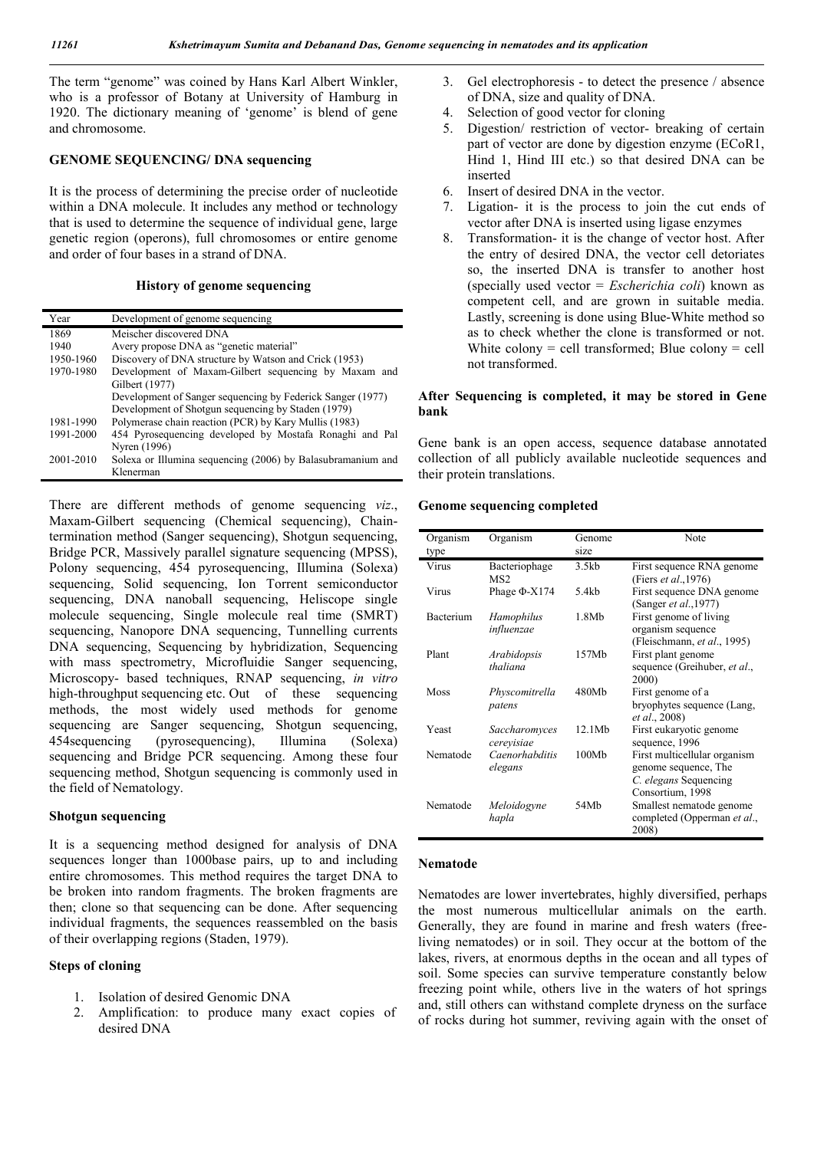The term "genome" was coined by Hans Karl Albert Winkler, who is a professor of Botany at University of Hamburg in 1920. The dictionary meaning of 'genome' is blend of gene and chromosome.

### **GENOME SEQUENCING/ DNA sequencing**

It is the process of determining the precise order of nucleotide within a DNA molecule. It includes any method or technology that is used to determine the sequence of individual gene, large genetic region (operons), full chromosomes or entire genome and order of four bases in a strand of DNA.

#### **History of genome sequencing**

| Year      | Development of genome sequencing                            |
|-----------|-------------------------------------------------------------|
| 1869      | Meischer discovered DNA                                     |
| 1940      | Avery propose DNA as "genetic material"                     |
| 1950-1960 | Discovery of DNA structure by Watson and Crick (1953)       |
| 1970-1980 | Development of Maxam-Gilbert sequencing by Maxam and        |
|           | Gilbert (1977)                                              |
|           | Development of Sanger sequencing by Federick Sanger (1977)  |
|           | Development of Shotgun sequencing by Staden (1979)          |
| 1981-1990 | Polymerase chain reaction (PCR) by Kary Mullis (1983)       |
| 1991-2000 | 454 Pyrosequencing developed by Mostafa Ronaghi and Pal     |
|           | Nyren (1996)                                                |
| 2001-2010 | Solexa or Illumina sequencing (2006) by Balasubramanium and |
|           | Klenerman                                                   |

There are different methods of genome sequencing *viz*., Maxam-Gilbert sequencing (Chemical sequencing), Chaintermination method (Sanger sequencing), Shotgun sequencing, Bridge PCR, Massively parallel signature sequencing (MPSS), Polony sequencing, 454 pyrosequencing, Illumina (Solexa) sequencing, Solid sequencing, Ion Torrent semiconductor sequencing, DNA nanoball sequencing, Heliscope single molecule sequencing, Single molecule real time (SMRT) sequencing, Nanopore DNA sequencing, Tunnelling currents DNA sequencing, Sequencing by hybridization, Sequencing with mass spectrometry, Microfluidie Sanger sequencing, Microscopy- based techniques, RNAP sequencing, *in vitro* high-throughput sequencing etc. Out of these sequencing methods, the most widely used methods for genome sequencing are Sanger sequencing, Shotgun sequencing, 454sequencing (pyrosequencing), Illumina (Solexa) sequencing and Bridge PCR sequencing. Among these four sequencing method, Shotgun sequencing is commonly used in the field of Nematology.

## **Shotgun sequencing**

It is a sequencing method designed for analysis of DNA sequences longer than 1000base pairs, up to and including entire chromosomes. This method requires the target DNA to be broken into random fragments. The broken fragments are then; clone so that sequencing can be done. After sequencing individual fragments, the sequences reassembled on the basis of their overlapping regions (Staden, 1979).

### **Steps of cloning**

- 1. Isolation of desired Genomic DNA
- 2. Amplification: to produce many exact copies of desired DNA
- 3. Gel electrophoresis to detect the presence / absence of DNA, size and quality of DNA.
- 4. Selection of good vector for cloning
- 5. Digestion/ restriction of vector- breaking of certain part of vector are done by digestion enzyme (ECoR1, Hind 1, Hind III etc.) so that desired DNA can be inserted
- 6. Insert of desired DNA in the vector.
- 7. Ligation- it is the process to join the cut ends of vector after DNA is inserted using ligase enzymes
- 8. Transformation- it is the change of vector host. After the entry of desired DNA, the vector cell detoriates so, the inserted DNA is transfer to another host (specially used vector = *Escherichia coli*) known as competent cell, and are grown in suitable media. Lastly, screening is done using Blue-White method so as to check whether the clone is transformed or not. White colony  $=$  cell transformed; Blue colony  $=$  cell not transformed.

## **After Sequencing is completed, it may be stored in Gene bank**

Gene bank is an open access, sequence database annotated collection of all publicly available nucleotide sequences and their protein translations.

### **Genome sequencing completed**

| Organism<br>type | Organism                         | Genome<br>size    | Note                                                                                              |
|------------------|----------------------------------|-------------------|---------------------------------------------------------------------------------------------------|
| Virus            | Bacteriophage<br>MS <sub>2</sub> | 3.5kb             | First sequence RNA genome<br>(Fiers <i>et al.</i> , 1976)                                         |
| Virus            | Phage $\Phi$ -X174               | 5.4kb             | First sequence DNA genome<br>(Sanger et al., 1977)                                                |
| Bacterium        | Hamophilus<br>influenzae         | 1.8M <sub>b</sub> | First genome of living<br>organism sequence<br>(Fleischmann, et al., 1995)                        |
| Plant            | Arabidopsis<br>thaliana          | 157Mb             | First plant genome<br>sequence (Greihuber, et al.,<br>2000)                                       |
| Moss             | Physcomitrella<br>patens         | 480Mb             | First genome of a<br>bryophytes sequence (Lang,<br>et al., 2008)                                  |
| Yeast            | Saccharomyces<br>cerevisiae      | 12.1Mb            | First eukaryotic genome<br>sequence, 1996                                                         |
| Nematode         | Caenorhabditis<br>elegans        | 100M <sub>b</sub> | First multicellular organism<br>genome sequence, The<br>C. elegans Sequencing<br>Consortium, 1998 |
| Nematode         | Meloidogyne<br>hapla             | 54Mb              | Smallest nematode genome<br>completed (Opperman et al.,<br>2008)                                  |

# **Nematode**

Nematodes are lower invertebrates, highly diversified, perhaps the most numerous multicellular animals on the earth. Generally, they are found in marine and fresh waters (freeliving nematodes) or in soil. They occur at the bottom of the lakes, rivers, at enormous depths in the ocean and all types of soil. Some species can survive temperature constantly below freezing point while, others live in the waters of hot springs and, still others can withstand complete dryness on the surface of rocks during hot summer, reviving again with the onset of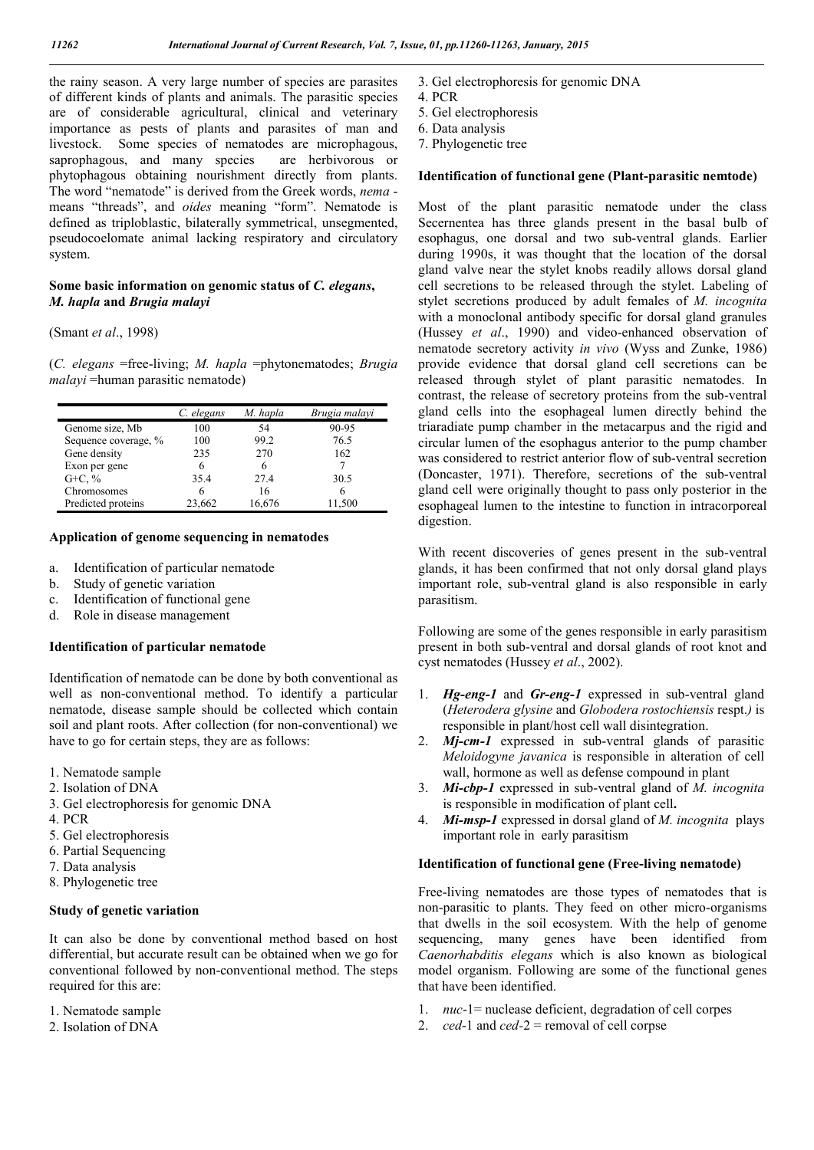the rainy season. A very large number of species are parasites of different kinds of plants and animals. The parasitic species are of considerable agricultural, clinical and veterinary importance as pests of plants and parasites of man and livestock. Some species of nematodes are microphagous, saprophagous, and many species are herbivorous or phytophagous obtaining nourishment directly from plants. The word "nematode" is derived from the Greek words, *nema* means "threads", and *oides* meaning "form". Nematode is defined as triploblastic, bilaterally symmetrical, unsegmented, pseudocoelomate animal lacking respiratory and circulatory system.

# **Some basic information on genomic status of** *C. elegans***,**  *M. hapla* **and** *Brugia malayi*

(Smant *et al*., 1998)

(*C. elegans* =free-living; *M. hapla* =phytonematodes; *Brugia malayi* = human parasitic nematode)

|                      | C. elegans | M. hapla | Brugia malayi |
|----------------------|------------|----------|---------------|
| Genome size, Mb      | 100        | 54       | 90-95         |
| Sequence coverage, % | 100        | 99.2     | 76.5          |
| Gene density         | 235        | 270      | 162           |
| Exon per gene        |            |          |               |
| $G + C, \%$          | 35.4       | 274      | 30.5          |
| Chromosomes          |            | 16       |               |
| Predicted proteins   | 23,662     | 16.676   | 11.500        |

#### **Application of genome sequencing in nematodes**

- a. Identification of particular nematode
- b. Study of genetic variation
- c. Identification of functional gene
- d. Role in disease management

#### **Identification of particular nematode**

Identification of nematode can be done by both conventional as well as non-conventional method. To identify a particular nematode, disease sample should be collected which contain soil and plant roots. After collection (for non-conventional) we have to go for certain steps, they are as follows:

- 1. Nematode sample
- 2. Isolation of DNA
- 3. Gel electrophoresis for genomic DNA
- 4. PCR
- 5. Gel electrophoresis
- 6. Partial Sequencing
- 7. Data analysis
- 8. Phylogenetic tree

#### **Study of genetic variation**

It can also be done by conventional method based on host differential, but accurate result can be obtained when we go for conventional followed by non-conventional method. The steps required for this are:

- 1. Nematode sample
- 2. Isolation of DNA
- 3. Gel electrophoresis for genomic DNA
- 4. PCR
- 5. Gel electrophoresis
- 6. Data analysis
- 7. Phylogenetic tree

#### **Identification of functional gene (Plant-parasitic nemtode)**

Most of the plant parasitic nematode under the class Secernentea has three glands present in the basal bulb of esophagus, one dorsal and two sub-ventral glands. Earlier during 1990s, it was thought that the location of the dorsal gland valve near the stylet knobs readily allows dorsal gland cell secretions to be released through the stylet. Labeling of stylet secretions produced by adult females of *M. incognita* with a monoclonal antibody specific for dorsal gland granules (Hussey *et al*., 1990) and video-enhanced observation of nematode secretory activity *in vivo* (Wyss and Zunke, 1986) provide evidence that dorsal gland cell secretions can be released through stylet of plant parasitic nematodes. In contrast, the release of secretory proteins from the sub-ventral gland cells into the esophageal lumen directly behind the triaradiate pump chamber in the metacarpus and the rigid and circular lumen of the esophagus anterior to the pump chamber was considered to restrict anterior flow of sub-ventral secretion (Doncaster, 1971). Therefore, secretions of the sub-ventral gland cell were originally thought to pass only posterior in the esophageal lumen to the intestine to function in intracorporeal digestion.

With recent discoveries of genes present in the sub-ventral glands, it has been confirmed that not only dorsal gland plays important role, sub-ventral gland is also responsible in early parasitism.

Following are some of the genes responsible in early parasitism present in both sub-ventral and dorsal glands of root knot and cyst nematodes (Hussey *et al*., 2002).

- 1. *Hg-eng-1* and *Gr-eng-1* expressed in sub-ventral gland (*Heterodera glysine* and *Globodera rostochiensis* respt.*)* is responsible in plant/host cell wall disintegration.
- 2. *Mj-cm-1* expressed in sub-ventral glands of parasitic *Meloidogyne javanica* is responsible in alteration of cell wall, hormone as well as defense compound in plant
- 3. *Mi-cbp-1* expressed in sub-ventral gland of *M. incognita* is responsible in modification of plant cell**.**
- 4. *Mi-msp-1* expressed in dorsal gland of *M. incognita* plays important role in early parasitism

## **Identification of functional gene (Free-living nematode)**

Free-living nematodes are those types of nematodes that is non-parasitic to plants. They feed on other micro-organisms that dwells in the soil ecosystem. With the help of genome sequencing, many genes have been identified from *Caenorhabditis elegans* which is also known as biological model organism. Following are some of the functional genes that have been identified.

- 1. *nuc*-1= nuclease deficient, degradation of cell corpes
- 2. *ced*-1 and *ced-*2 = removal of cell corpse